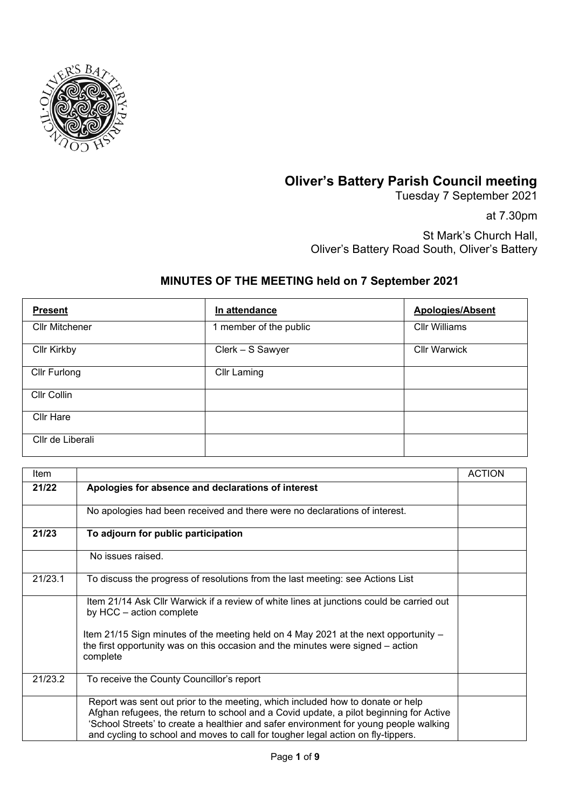

## **Oliver's Battery Parish Council meeting**

Tuesday 7 September 2021

at 7.30pm

St Mark's Church Hall, Oliver's Battery Road South, Oliver's Battery

## **MINUTES OF THE MEETING held on 7 September 2021**

| <b>Present</b>        | In attendance          | <b>Apologies/Absent</b> |
|-----------------------|------------------------|-------------------------|
| <b>Cllr Mitchener</b> | 1 member of the public | <b>Cllr Williams</b>    |
| <b>Cllr Kirkby</b>    | Clerk - S Sawyer       | <b>Cllr Warwick</b>     |
| Cllr Furlong          | <b>Cllr Laming</b>     |                         |
| Cllr Collin           |                        |                         |
| <b>Cllr Hare</b>      |                        |                         |
| Cllr de Liberali      |                        |                         |

| Item    |                                                                                                                                                                                                                                                                                                                                                       | <b>ACTION</b> |
|---------|-------------------------------------------------------------------------------------------------------------------------------------------------------------------------------------------------------------------------------------------------------------------------------------------------------------------------------------------------------|---------------|
| 21/22   | Apologies for absence and declarations of interest                                                                                                                                                                                                                                                                                                    |               |
|         | No apologies had been received and there were no declarations of interest.                                                                                                                                                                                                                                                                            |               |
| 21/23   | To adjourn for public participation                                                                                                                                                                                                                                                                                                                   |               |
|         | No issues raised.                                                                                                                                                                                                                                                                                                                                     |               |
| 21/23.1 | To discuss the progress of resolutions from the last meeting: see Actions List                                                                                                                                                                                                                                                                        |               |
|         | Item 21/14 Ask Cllr Warwick if a review of white lines at junctions could be carried out<br>by HCC - action complete                                                                                                                                                                                                                                  |               |
|         | Item 21/15 Sign minutes of the meeting held on 4 May 2021 at the next opportunity –<br>the first opportunity was on this occasion and the minutes were signed – action<br>complete                                                                                                                                                                    |               |
| 21/23.2 | To receive the County Councillor's report                                                                                                                                                                                                                                                                                                             |               |
|         | Report was sent out prior to the meeting, which included how to donate or help<br>Afghan refugees, the return to school and a Covid update, a pilot beginning for Active<br>'School Streets' to create a healthier and safer environment for young people walking<br>and cycling to school and moves to call for tougher legal action on fly-tippers. |               |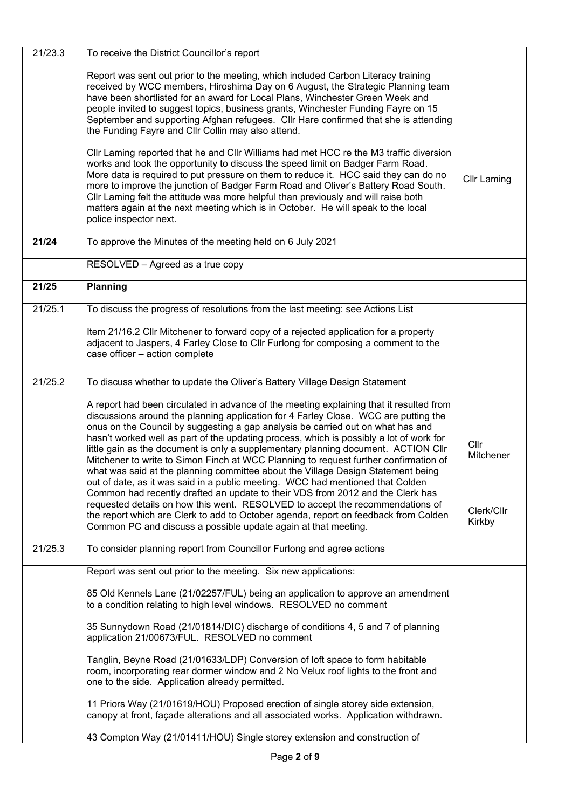| 21/23.3 | To receive the District Councillor's report                                                                                                                                                                                                                                                                                                                                                                                                                                                                                                                                                                                                                                                                                                                                                                                                                                                                                                                                                                                                  |                                           |
|---------|----------------------------------------------------------------------------------------------------------------------------------------------------------------------------------------------------------------------------------------------------------------------------------------------------------------------------------------------------------------------------------------------------------------------------------------------------------------------------------------------------------------------------------------------------------------------------------------------------------------------------------------------------------------------------------------------------------------------------------------------------------------------------------------------------------------------------------------------------------------------------------------------------------------------------------------------------------------------------------------------------------------------------------------------|-------------------------------------------|
|         | Report was sent out prior to the meeting, which included Carbon Literacy training<br>received by WCC members, Hiroshima Day on 6 August, the Strategic Planning team<br>have been shortlisted for an award for Local Plans, Winchester Green Week and<br>people invited to suggest topics, business grants, Winchester Funding Fayre on 15<br>September and supporting Afghan refugees. Cllr Hare confirmed that she is attending<br>the Funding Fayre and Cllr Collin may also attend.                                                                                                                                                                                                                                                                                                                                                                                                                                                                                                                                                      |                                           |
|         | CIIr Laming reported that he and CIIr Williams had met HCC re the M3 traffic diversion<br>works and took the opportunity to discuss the speed limit on Badger Farm Road.<br>More data is required to put pressure on them to reduce it. HCC said they can do no<br>more to improve the junction of Badger Farm Road and Oliver's Battery Road South.<br>Cllr Laming felt the attitude was more helpful than previously and will raise both<br>matters again at the next meeting which is in October. He will speak to the local<br>police inspector next.                                                                                                                                                                                                                                                                                                                                                                                                                                                                                    | <b>Cllr Laming</b>                        |
| 21/24   | To approve the Minutes of the meeting held on 6 July 2021                                                                                                                                                                                                                                                                                                                                                                                                                                                                                                                                                                                                                                                                                                                                                                                                                                                                                                                                                                                    |                                           |
|         | RESOLVED - Agreed as a true copy                                                                                                                                                                                                                                                                                                                                                                                                                                                                                                                                                                                                                                                                                                                                                                                                                                                                                                                                                                                                             |                                           |
| 21/25   | Planning                                                                                                                                                                                                                                                                                                                                                                                                                                                                                                                                                                                                                                                                                                                                                                                                                                                                                                                                                                                                                                     |                                           |
| 21/25.1 | To discuss the progress of resolutions from the last meeting: see Actions List                                                                                                                                                                                                                                                                                                                                                                                                                                                                                                                                                                                                                                                                                                                                                                                                                                                                                                                                                               |                                           |
|         | Item 21/16.2 Cllr Mitchener to forward copy of a rejected application for a property<br>adjacent to Jaspers, 4 Farley Close to Cllr Furlong for composing a comment to the<br>case officer - action complete                                                                                                                                                                                                                                                                                                                                                                                                                                                                                                                                                                                                                                                                                                                                                                                                                                 |                                           |
| 21/25.2 | To discuss whether to update the Oliver's Battery Village Design Statement                                                                                                                                                                                                                                                                                                                                                                                                                                                                                                                                                                                                                                                                                                                                                                                                                                                                                                                                                                   |                                           |
|         | A report had been circulated in advance of the meeting explaining that it resulted from<br>discussions around the planning application for 4 Farley Close. WCC are putting the<br>onus on the Council by suggesting a gap analysis be carried out on what has and<br>hasn't worked well as part of the updating process, which is possibly a lot of work for<br>little gain as the document is only a supplementary planning document. ACTION Cllr<br>Mitchener to write to Simon Finch at WCC Planning to request further confirmation of<br>what was said at the planning committee about the Village Design Statement being<br>out of date, as it was said in a public meeting. WCC had mentioned that Colden<br>Common had recently drafted an update to their VDS from 2012 and the Clerk has<br>requested details on how this went. RESOLVED to accept the recommendations of<br>the report which are Clerk to add to October agenda, report on feedback from Colden<br>Common PC and discuss a possible update again at that meeting. | Cllr<br>Mitchener<br>Clerk/Cllr<br>Kirkby |
| 21/25.3 | To consider planning report from Councillor Furlong and agree actions                                                                                                                                                                                                                                                                                                                                                                                                                                                                                                                                                                                                                                                                                                                                                                                                                                                                                                                                                                        |                                           |
|         | Report was sent out prior to the meeting. Six new applications:                                                                                                                                                                                                                                                                                                                                                                                                                                                                                                                                                                                                                                                                                                                                                                                                                                                                                                                                                                              |                                           |
|         | 85 Old Kennels Lane (21/02257/FUL) being an application to approve an amendment<br>to a condition relating to high level windows. RESOLVED no comment                                                                                                                                                                                                                                                                                                                                                                                                                                                                                                                                                                                                                                                                                                                                                                                                                                                                                        |                                           |
|         | 35 Sunnydown Road (21/01814/DIC) discharge of conditions 4, 5 and 7 of planning<br>application 21/00673/FUL. RESOLVED no comment                                                                                                                                                                                                                                                                                                                                                                                                                                                                                                                                                                                                                                                                                                                                                                                                                                                                                                             |                                           |
|         | Tanglin, Beyne Road (21/01633/LDP) Conversion of loft space to form habitable<br>room, incorporating rear dormer window and 2 No Velux roof lights to the front and<br>one to the side. Application already permitted.                                                                                                                                                                                                                                                                                                                                                                                                                                                                                                                                                                                                                                                                                                                                                                                                                       |                                           |
|         | 11 Priors Way (21/01619/HOU) Proposed erection of single storey side extension,<br>canopy at front, façade alterations and all associated works. Application withdrawn.                                                                                                                                                                                                                                                                                                                                                                                                                                                                                                                                                                                                                                                                                                                                                                                                                                                                      |                                           |
|         | 43 Compton Way (21/01411/HOU) Single storey extension and construction of                                                                                                                                                                                                                                                                                                                                                                                                                                                                                                                                                                                                                                                                                                                                                                                                                                                                                                                                                                    |                                           |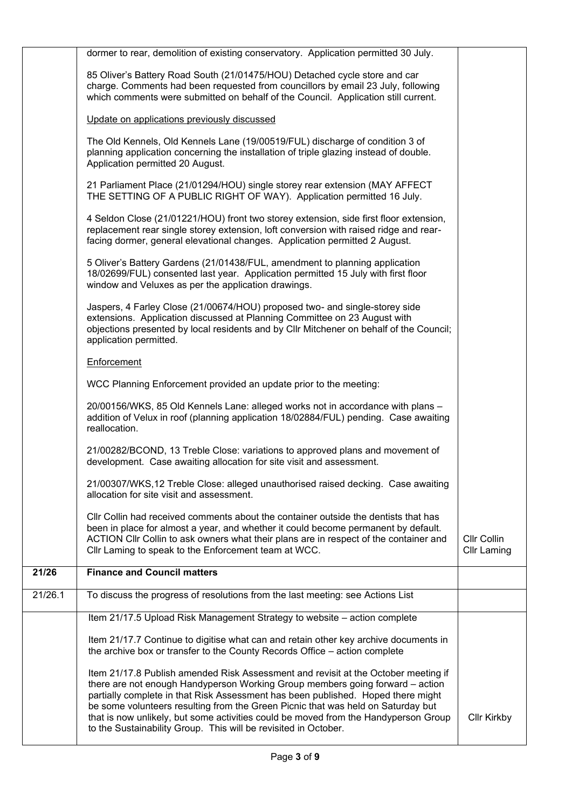|         | dormer to rear, demolition of existing conservatory. Application permitted 30 July.                                                                                                                                                                                                                                                                                                                                                                                                                   |                                   |
|---------|-------------------------------------------------------------------------------------------------------------------------------------------------------------------------------------------------------------------------------------------------------------------------------------------------------------------------------------------------------------------------------------------------------------------------------------------------------------------------------------------------------|-----------------------------------|
|         | 85 Oliver's Battery Road South (21/01475/HOU) Detached cycle store and car<br>charge. Comments had been requested from councillors by email 23 July, following<br>which comments were submitted on behalf of the Council. Application still current.                                                                                                                                                                                                                                                  |                                   |
|         | Update on applications previously discussed                                                                                                                                                                                                                                                                                                                                                                                                                                                           |                                   |
|         | The Old Kennels, Old Kennels Lane (19/00519/FUL) discharge of condition 3 of<br>planning application concerning the installation of triple glazing instead of double.<br>Application permitted 20 August.                                                                                                                                                                                                                                                                                             |                                   |
|         | 21 Parliament Place (21/01294/HOU) single storey rear extension (MAY AFFECT<br>THE SETTING OF A PUBLIC RIGHT OF WAY). Application permitted 16 July.                                                                                                                                                                                                                                                                                                                                                  |                                   |
|         | 4 Seldon Close (21/01221/HOU) front two storey extension, side first floor extension,<br>replacement rear single storey extension, loft conversion with raised ridge and rear-<br>facing dormer, general elevational changes. Application permitted 2 August.                                                                                                                                                                                                                                         |                                   |
|         | 5 Oliver's Battery Gardens (21/01438/FUL, amendment to planning application<br>18/02699/FUL) consented last year. Application permitted 15 July with first floor<br>window and Veluxes as per the application drawings.                                                                                                                                                                                                                                                                               |                                   |
|         | Jaspers, 4 Farley Close (21/00674/HOU) proposed two- and single-storey side<br>extensions. Application discussed at Planning Committee on 23 August with<br>objections presented by local residents and by Cllr Mitchener on behalf of the Council;<br>application permitted.                                                                                                                                                                                                                         |                                   |
|         | Enforcement                                                                                                                                                                                                                                                                                                                                                                                                                                                                                           |                                   |
|         | WCC Planning Enforcement provided an update prior to the meeting:                                                                                                                                                                                                                                                                                                                                                                                                                                     |                                   |
|         | 20/00156/WKS, 85 Old Kennels Lane: alleged works not in accordance with plans -<br>addition of Velux in roof (planning application 18/02884/FUL) pending. Case awaiting<br>reallocation.                                                                                                                                                                                                                                                                                                              |                                   |
|         | 21/00282/BCOND, 13 Treble Close: variations to approved plans and movement of<br>development. Case awaiting allocation for site visit and assessment.                                                                                                                                                                                                                                                                                                                                                 |                                   |
|         | 21/00307/WKS,12 Treble Close: alleged unauthorised raised decking. Case awaiting<br>allocation for site visit and assessment.                                                                                                                                                                                                                                                                                                                                                                         |                                   |
|         | CIIr Collin had received comments about the container outside the dentists that has<br>been in place for almost a year, and whether it could become permanent by default.<br>ACTION Cllr Collin to ask owners what their plans are in respect of the container and<br>Cllr Laming to speak to the Enforcement team at WCC.                                                                                                                                                                            | Cllr Collin<br><b>Cllr Laming</b> |
| 21/26   | <b>Finance and Council matters</b>                                                                                                                                                                                                                                                                                                                                                                                                                                                                    |                                   |
| 21/26.1 | To discuss the progress of resolutions from the last meeting: see Actions List                                                                                                                                                                                                                                                                                                                                                                                                                        |                                   |
|         | Item 21/17.5 Upload Risk Management Strategy to website - action complete                                                                                                                                                                                                                                                                                                                                                                                                                             |                                   |
|         | Item 21/17.7 Continue to digitise what can and retain other key archive documents in<br>the archive box or transfer to the County Records Office - action complete                                                                                                                                                                                                                                                                                                                                    |                                   |
|         | Item 21/17.8 Publish amended Risk Assessment and revisit at the October meeting if<br>there are not enough Handyperson Working Group members going forward - action<br>partially complete in that Risk Assessment has been published. Hoped there might<br>be some volunteers resulting from the Green Picnic that was held on Saturday but<br>that is now unlikely, but some activities could be moved from the Handyperson Group<br>to the Sustainability Group. This will be revisited in October. | <b>Cllr Kirkby</b>                |
|         |                                                                                                                                                                                                                                                                                                                                                                                                                                                                                                       |                                   |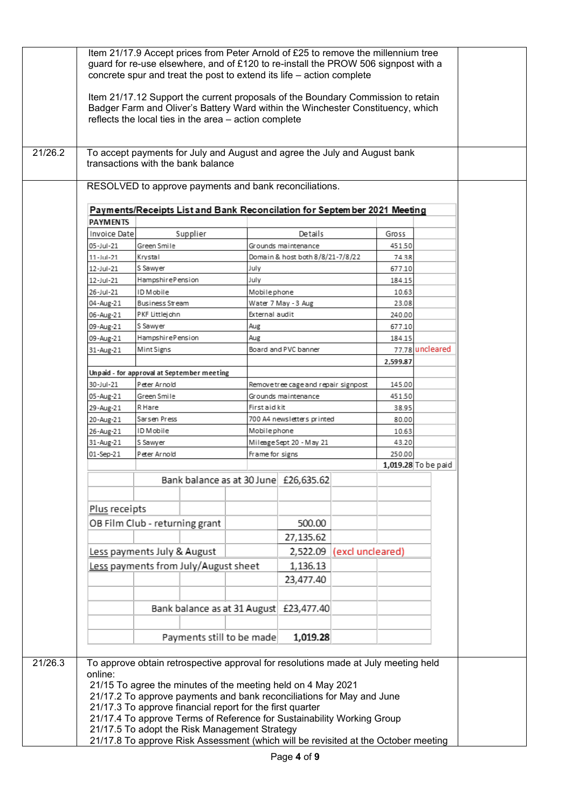| 21/26.2 | To accept payments for July and August and agree the July and August bank<br>transactions with the bank balance                       |                                                            |          |                                                           |                                                                                    |                  |                  |                     |
|---------|---------------------------------------------------------------------------------------------------------------------------------------|------------------------------------------------------------|----------|-----------------------------------------------------------|------------------------------------------------------------------------------------|------------------|------------------|---------------------|
|         |                                                                                                                                       |                                                            |          |                                                           |                                                                                    |                  |                  |                     |
|         |                                                                                                                                       |                                                            |          |                                                           |                                                                                    |                  |                  |                     |
|         | RESOLVED to approve payments and bank reconciliations.                                                                                |                                                            |          |                                                           |                                                                                    |                  |                  |                     |
|         | Payments/Receipts List and Bank Reconcilation for September 2021 Meeting                                                              |                                                            |          |                                                           |                                                                                    |                  |                  |                     |
|         | <b>PAYMENTS</b>                                                                                                                       |                                                            |          |                                                           |                                                                                    |                  |                  |                     |
|         | Invoice Date                                                                                                                          |                                                            | Supplier |                                                           | Details                                                                            |                  | Gross            |                     |
|         | 05-Jul-21                                                                                                                             | Green Smile                                                |          |                                                           | Grounds maintenance                                                                |                  | 451.50           |                     |
|         | 11-Jul-21                                                                                                                             | Krystal                                                    |          |                                                           | Domain & host both 8/8/21-7/8/22                                                   |                  | 74.38            |                     |
|         | 12-Jul-21                                                                                                                             | S Sawyer<br>HampshirePension                               |          | July<br>July                                              |                                                                                    |                  | 677.10<br>184.15 |                     |
|         | 12-Jul-21<br>26-Jul-21                                                                                                                | ID Mobile                                                  |          | Mobilephone                                               |                                                                                    |                  | 10.63            |                     |
|         | 04-Aug-21                                                                                                                             | Business Stream                                            |          |                                                           | Water 7 May - 3 Aug                                                                |                  | 23.08            |                     |
|         | 06-Aug-21                                                                                                                             | PKF Littlejohn                                             |          | External audit                                            |                                                                                    |                  | 240.00           |                     |
|         | 09-Aug-21                                                                                                                             | S Sawyer                                                   |          | Aug                                                       |                                                                                    |                  | 677.10           |                     |
|         | 09-Aug-21                                                                                                                             | HampshirePension                                           |          | Aug                                                       |                                                                                    |                  | 184.15           |                     |
|         | 31-Aug-21                                                                                                                             | Mint Signs                                                 |          |                                                           | Board and PVC banner                                                               |                  |                  | 77.78 uncleared     |
|         |                                                                                                                                       |                                                            |          |                                                           |                                                                                    |                  | 2,599.87         |                     |
|         | 30-Jul-21                                                                                                                             | Unpaid - for approval at September meeting<br>Peter Arnold |          |                                                           |                                                                                    |                  | 145.00           |                     |
|         | 05-Aug-21                                                                                                                             | Green Smile                                                |          |                                                           | Removetree cage and repair signpost<br>Grounds maintenance                         |                  |                  | 451.50              |
|         | 29-Aug-21                                                                                                                             | R Hare                                                     |          |                                                           | First aid kit                                                                      |                  |                  |                     |
|         | 20-Aug-21                                                                                                                             | Sarsen Press                                               |          |                                                           | 700 A4 newsletters printed                                                         |                  | 38.95<br>80.00   |                     |
|         | 26-Aug-21                                                                                                                             | ID Mobile                                                  |          | Mobilephone                                               |                                                                                    |                  | 10.63            |                     |
|         | 31-Aug-21                                                                                                                             | S Sawyer                                                   |          |                                                           | Mileage Sept 20 - May 21                                                           |                  | 43.20            |                     |
|         | 01-Sep-21                                                                                                                             | Peter Arnold                                               |          | Frame for signs                                           |                                                                                    |                  | 250.00           |                     |
|         |                                                                                                                                       |                                                            |          |                                                           |                                                                                    |                  |                  | 1,019.28 To be paid |
|         |                                                                                                                                       |                                                            |          |                                                           | Bank balance as at 30 June £26,635.62                                              |                  |                  |                     |
|         |                                                                                                                                       |                                                            |          |                                                           |                                                                                    |                  |                  |                     |
|         | Plus receipts                                                                                                                         |                                                            |          |                                                           |                                                                                    |                  |                  |                     |
|         |                                                                                                                                       | OB Film Club - returning grant                             |          |                                                           | 500.00                                                                             |                  |                  |                     |
|         |                                                                                                                                       |                                                            |          |                                                           | 27,135.62                                                                          |                  |                  |                     |
|         |                                                                                                                                       | Less payments July & August                                |          |                                                           | 2,522.09                                                                           | (excl uncleared) |                  |                     |
|         |                                                                                                                                       | Less payments from July/August sheet                       |          |                                                           | 1,136.13                                                                           |                  |                  |                     |
|         |                                                                                                                                       |                                                            |          |                                                           | 23,477.40                                                                          |                  |                  |                     |
|         |                                                                                                                                       |                                                            |          |                                                           |                                                                                    |                  |                  |                     |
|         |                                                                                                                                       |                                                            |          |                                                           |                                                                                    |                  |                  |                     |
|         |                                                                                                                                       |                                                            |          |                                                           | Bank balance as at 31 August £23,477.40                                            |                  |                  |                     |
|         |                                                                                                                                       |                                                            |          |                                                           |                                                                                    |                  |                  |                     |
|         |                                                                                                                                       |                                                            |          | Payments still to be made                                 | 1,019.28                                                                           |                  |                  |                     |
|         |                                                                                                                                       |                                                            |          |                                                           |                                                                                    |                  |                  |                     |
| 21/26.3 |                                                                                                                                       |                                                            |          |                                                           | To approve obtain retrospective approval for resolutions made at July meeting held |                  |                  |                     |
|         | online:                                                                                                                               |                                                            |          |                                                           |                                                                                    |                  |                  |                     |
|         | 21/15 To agree the minutes of the meeting held on 4 May 2021<br>21/17.2 To approve payments and bank reconciliations for May and June |                                                            |          |                                                           |                                                                                    |                  |                  |                     |
|         |                                                                                                                                       |                                                            |          | 21/17.3 To approve financial report for the first quarter |                                                                                    |                  |                  |                     |
|         |                                                                                                                                       |                                                            |          |                                                           | 21/17.4 To approve Terms of Reference for Sustainability Working Group             |                  |                  |                     |
|         | 21/17.5 To adopt the Risk Management Strategy                                                                                         |                                                            |          |                                                           |                                                                                    |                  |                  |                     |
|         |                                                                                                                                       |                                                            |          |                                                           | 21/17.8 To approve Risk Assessment (which will be revisited at the October meeting |                  |                  |                     |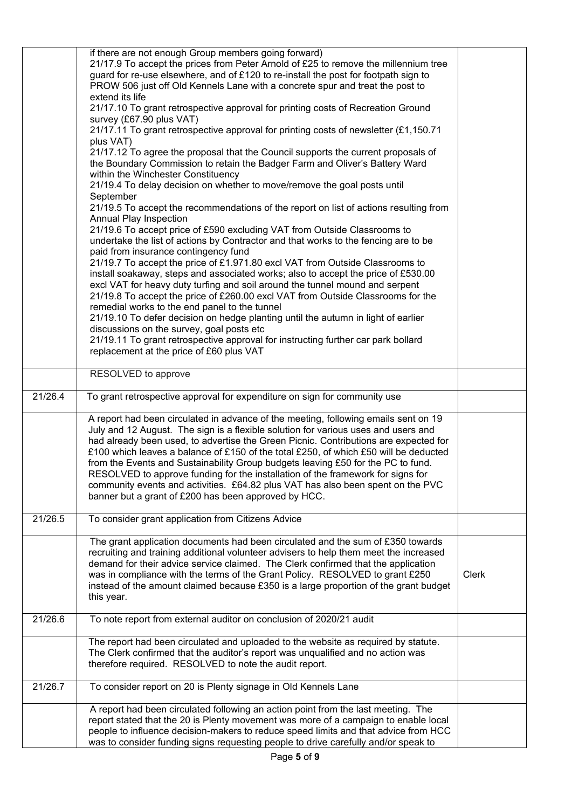|         | if there are not enough Group members going forward)<br>21/17.9 To accept the prices from Peter Arnold of £25 to remove the millennium tree<br>guard for re-use elsewhere, and of £120 to re-install the post for footpath sign to<br>PROW 506 just off Old Kennels Lane with a concrete spur and treat the post to<br>extend its life<br>21/17.10 To grant retrospective approval for printing costs of Recreation Ground<br>survey (£67.90 plus VAT)<br>21/17.11 To grant retrospective approval for printing costs of newsletter (£1,150.71<br>plus VAT)<br>21/17.12 To agree the proposal that the Council supports the current proposals of<br>the Boundary Commission to retain the Badger Farm and Oliver's Battery Ward<br>within the Winchester Constituency<br>21/19.4 To delay decision on whether to move/remove the goal posts until<br>September<br>21/19.5 To accept the recommendations of the report on list of actions resulting from<br>Annual Play Inspection<br>21/19.6 To accept price of £590 excluding VAT from Outside Classrooms to<br>undertake the list of actions by Contractor and that works to the fencing are to be<br>paid from insurance contingency fund |       |
|---------|----------------------------------------------------------------------------------------------------------------------------------------------------------------------------------------------------------------------------------------------------------------------------------------------------------------------------------------------------------------------------------------------------------------------------------------------------------------------------------------------------------------------------------------------------------------------------------------------------------------------------------------------------------------------------------------------------------------------------------------------------------------------------------------------------------------------------------------------------------------------------------------------------------------------------------------------------------------------------------------------------------------------------------------------------------------------------------------------------------------------------------------------------------------------------------------------|-------|
|         | 21/19.7 To accept the price of £1.971.80 excl VAT from Outside Classrooms to<br>install soakaway, steps and associated works; also to accept the price of £530.00<br>excl VAT for heavy duty turfing and soil around the tunnel mound and serpent<br>21/19.8 To accept the price of £260.00 excl VAT from Outside Classrooms for the<br>remedial works to the end panel to the tunnel<br>21/19.10 To defer decision on hedge planting until the autumn in light of earlier<br>discussions on the survey, goal posts etc<br>21/19.11 To grant retrospective approval for instructing further car park bollard<br>replacement at the price of £60 plus VAT                                                                                                                                                                                                                                                                                                                                                                                                                                                                                                                                     |       |
|         | RESOLVED to approve                                                                                                                                                                                                                                                                                                                                                                                                                                                                                                                                                                                                                                                                                                                                                                                                                                                                                                                                                                                                                                                                                                                                                                          |       |
| 21/26.4 | To grant retrospective approval for expenditure on sign for community use                                                                                                                                                                                                                                                                                                                                                                                                                                                                                                                                                                                                                                                                                                                                                                                                                                                                                                                                                                                                                                                                                                                    |       |
|         | A report had been circulated in advance of the meeting, following emails sent on 19<br>July and 12 August. The sign is a flexible solution for various uses and users and<br>had already been used, to advertise the Green Picnic. Contributions are expected for<br>£100 which leaves a balance of £150 of the total £250, of which £50 will be deducted<br>from the Events and Sustainability Group budgets leaving £50 for the PC to fund.<br>RESOLVED to approve funding for the installation of the framework for signs for<br>community events and activities. £64.82 plus VAT has also been spent on the PVC<br>banner but a grant of £200 has been approved by HCC.                                                                                                                                                                                                                                                                                                                                                                                                                                                                                                                  |       |
| 21/26.5 | To consider grant application from Citizens Advice                                                                                                                                                                                                                                                                                                                                                                                                                                                                                                                                                                                                                                                                                                                                                                                                                                                                                                                                                                                                                                                                                                                                           |       |
|         | The grant application documents had been circulated and the sum of £350 towards<br>recruiting and training additional volunteer advisers to help them meet the increased<br>demand for their advice service claimed. The Clerk confirmed that the application<br>was in compliance with the terms of the Grant Policy. RESOLVED to grant £250<br>instead of the amount claimed because £350 is a large proportion of the grant budget<br>this year.                                                                                                                                                                                                                                                                                                                                                                                                                                                                                                                                                                                                                                                                                                                                          | Clerk |
| 21/26.6 | To note report from external auditor on conclusion of 2020/21 audit                                                                                                                                                                                                                                                                                                                                                                                                                                                                                                                                                                                                                                                                                                                                                                                                                                                                                                                                                                                                                                                                                                                          |       |
|         | The report had been circulated and uploaded to the website as required by statute.<br>The Clerk confirmed that the auditor's report was unqualified and no action was<br>therefore required. RESOLVED to note the audit report.                                                                                                                                                                                                                                                                                                                                                                                                                                                                                                                                                                                                                                                                                                                                                                                                                                                                                                                                                              |       |
| 21/26.7 | To consider report on 20 is Plenty signage in Old Kennels Lane                                                                                                                                                                                                                                                                                                                                                                                                                                                                                                                                                                                                                                                                                                                                                                                                                                                                                                                                                                                                                                                                                                                               |       |
|         | A report had been circulated following an action point from the last meeting. The<br>report stated that the 20 is Plenty movement was more of a campaign to enable local<br>people to influence decision-makers to reduce speed limits and that advice from HCC<br>was to consider funding signs requesting people to drive carefully and/or speak to                                                                                                                                                                                                                                                                                                                                                                                                                                                                                                                                                                                                                                                                                                                                                                                                                                        |       |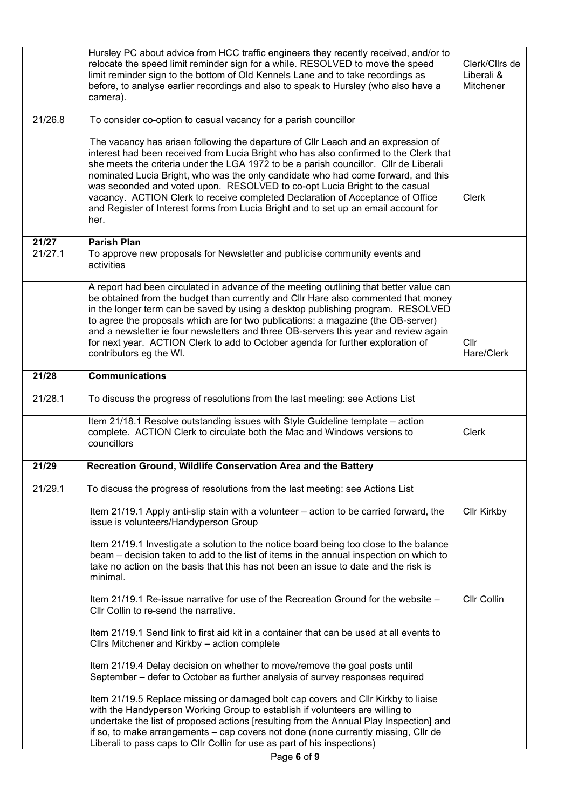|         | Hursley PC about advice from HCC traffic engineers they recently received, and/or to<br>relocate the speed limit reminder sign for a while. RESOLVED to move the speed<br>limit reminder sign to the bottom of Old Kennels Lane and to take recordings as<br>before, to analyse earlier recordings and also to speak to Hursley (who also have a<br>camera).                                                                                                                                                                                                                                                            | Clerk/Cllrs de<br>Liberali &<br>Mitchener |
|---------|-------------------------------------------------------------------------------------------------------------------------------------------------------------------------------------------------------------------------------------------------------------------------------------------------------------------------------------------------------------------------------------------------------------------------------------------------------------------------------------------------------------------------------------------------------------------------------------------------------------------------|-------------------------------------------|
| 21/26.8 | To consider co-option to casual vacancy for a parish councillor                                                                                                                                                                                                                                                                                                                                                                                                                                                                                                                                                         |                                           |
|         | The vacancy has arisen following the departure of CIIr Leach and an expression of<br>interest had been received from Lucia Bright who has also confirmed to the Clerk that<br>she meets the criteria under the LGA 1972 to be a parish councillor. Cllr de Liberali<br>nominated Lucia Bright, who was the only candidate who had come forward, and this<br>was seconded and voted upon. RESOLVED to co-opt Lucia Bright to the casual<br>vacancy. ACTION Clerk to receive completed Declaration of Acceptance of Office<br>and Register of Interest forms from Lucia Bright and to set up an email account for<br>her. | <b>Clerk</b>                              |
| 21/27   | <b>Parish Plan</b>                                                                                                                                                                                                                                                                                                                                                                                                                                                                                                                                                                                                      |                                           |
| 21/27.1 | To approve new proposals for Newsletter and publicise community events and<br>activities                                                                                                                                                                                                                                                                                                                                                                                                                                                                                                                                |                                           |
|         | A report had been circulated in advance of the meeting outlining that better value can<br>be obtained from the budget than currently and CIIr Hare also commented that money<br>in the longer term can be saved by using a desktop publishing program. RESOLVED<br>to agree the proposals which are for two publications: a magazine (the OB-server)<br>and a newsletter ie four newsletters and three OB-servers this year and review again<br>for next year. ACTION Clerk to add to October agenda for further exploration of<br>contributors eg the WI.                                                              | Cllr<br>Hare/Clerk                        |
| 21/28   | <b>Communications</b>                                                                                                                                                                                                                                                                                                                                                                                                                                                                                                                                                                                                   |                                           |
| 21/28.1 | To discuss the progress of resolutions from the last meeting: see Actions List                                                                                                                                                                                                                                                                                                                                                                                                                                                                                                                                          |                                           |
|         | Item 21/18.1 Resolve outstanding issues with Style Guideline template - action<br>complete. ACTION Clerk to circulate both the Mac and Windows versions to<br>councillors                                                                                                                                                                                                                                                                                                                                                                                                                                               | <b>Clerk</b>                              |
| 21/29   | Recreation Ground, Wildlife Conservation Area and the Battery                                                                                                                                                                                                                                                                                                                                                                                                                                                                                                                                                           |                                           |
| 21/29.1 | To discuss the progress of resolutions from the last meeting: see Actions List                                                                                                                                                                                                                                                                                                                                                                                                                                                                                                                                          |                                           |
|         | Item 21/19.1 Apply anti-slip stain with a volunteer – action to be carried forward, the<br>issue is volunteers/Handyperson Group                                                                                                                                                                                                                                                                                                                                                                                                                                                                                        | <b>Cllr Kirkby</b>                        |
|         | Item 21/19.1 Investigate a solution to the notice board being too close to the balance<br>beam – decision taken to add to the list of items in the annual inspection on which to<br>take no action on the basis that this has not been an issue to date and the risk is<br>minimal.                                                                                                                                                                                                                                                                                                                                     |                                           |
|         | Item 21/19.1 Re-issue narrative for use of the Recreation Ground for the website -<br>Cllr Collin to re-send the narrative.                                                                                                                                                                                                                                                                                                                                                                                                                                                                                             | <b>Cllr Collin</b>                        |
|         | Item 21/19.1 Send link to first aid kit in a container that can be used at all events to<br>Cllrs Mitchener and Kirkby - action complete                                                                                                                                                                                                                                                                                                                                                                                                                                                                                |                                           |
|         | Item 21/19.4 Delay decision on whether to move/remove the goal posts until<br>September - defer to October as further analysis of survey responses required                                                                                                                                                                                                                                                                                                                                                                                                                                                             |                                           |
|         | Item 21/19.5 Replace missing or damaged bolt cap covers and Cllr Kirkby to liaise<br>with the Handyperson Working Group to establish if volunteers are willing to<br>undertake the list of proposed actions [resulting from the Annual Play Inspection] and<br>if so, to make arrangements - cap covers not done (none currently missing, Cllr de<br>Liberali to pass caps to Cllr Collin for use as part of his inspections)                                                                                                                                                                                           |                                           |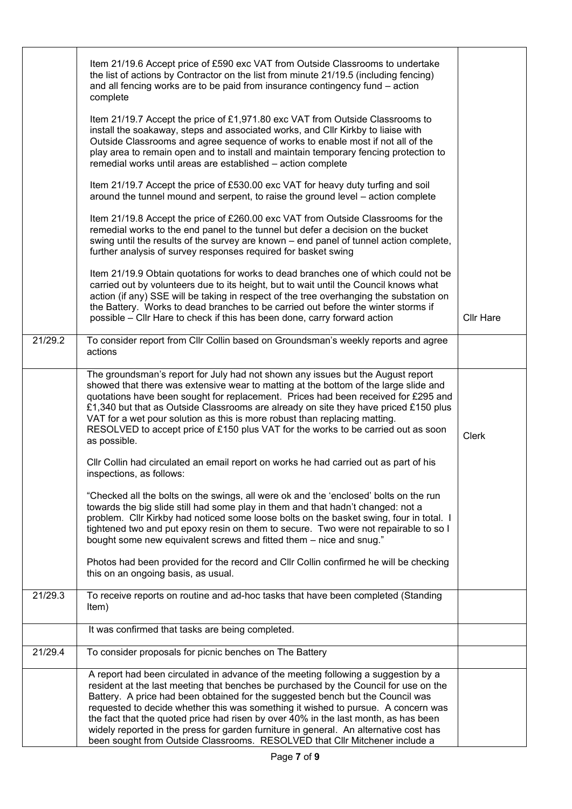|         | Item 21/19.6 Accept price of £590 exc VAT from Outside Classrooms to undertake<br>the list of actions by Contractor on the list from minute 21/19.5 (including fencing)<br>and all fencing works are to be paid from insurance contingency fund - action<br>complete                                                                                                                                                                                                                                                                                                                                             |                  |
|---------|------------------------------------------------------------------------------------------------------------------------------------------------------------------------------------------------------------------------------------------------------------------------------------------------------------------------------------------------------------------------------------------------------------------------------------------------------------------------------------------------------------------------------------------------------------------------------------------------------------------|------------------|
|         | Item 21/19.7 Accept the price of £1,971.80 exc VAT from Outside Classrooms to<br>install the soakaway, steps and associated works, and Cllr Kirkby to liaise with<br>Outside Classrooms and agree sequence of works to enable most if not all of the<br>play area to remain open and to install and maintain temporary fencing protection to<br>remedial works until areas are established - action complete                                                                                                                                                                                                     |                  |
|         | Item 21/19.7 Accept the price of £530.00 exc VAT for heavy duty turfing and soil<br>around the tunnel mound and serpent, to raise the ground level - action complete                                                                                                                                                                                                                                                                                                                                                                                                                                             |                  |
|         | Item 21/19.8 Accept the price of £260.00 exc VAT from Outside Classrooms for the<br>remedial works to the end panel to the tunnel but defer a decision on the bucket<br>swing until the results of the survey are known - end panel of tunnel action complete,<br>further analysis of survey responses required for basket swing                                                                                                                                                                                                                                                                                 |                  |
|         | Item 21/19.9 Obtain quotations for works to dead branches one of which could not be<br>carried out by volunteers due to its height, but to wait until the Council knows what<br>action (if any) SSE will be taking in respect of the tree overhanging the substation on<br>the Battery. Works to dead branches to be carried out before the winter storms if<br>possible – Cllr Hare to check if this has been done, carry forward action                                                                                                                                                                        | <b>Cllr Hare</b> |
| 21/29.2 | To consider report from Cllr Collin based on Groundsman's weekly reports and agree<br>actions                                                                                                                                                                                                                                                                                                                                                                                                                                                                                                                    |                  |
|         | The groundsman's report for July had not shown any issues but the August report<br>showed that there was extensive wear to matting at the bottom of the large slide and<br>quotations have been sought for replacement. Prices had been received for £295 and<br>£1,340 but that as Outside Classrooms are already on site they have priced £150 plus<br>VAT for a wet pour solution as this is more robust than replacing matting.<br>RESOLVED to accept price of £150 plus VAT for the works to be carried out as soon<br>as possible.                                                                         | Clerk            |
|         | CIIr Collin had circulated an email report on works he had carried out as part of his<br>inspections, as follows:                                                                                                                                                                                                                                                                                                                                                                                                                                                                                                |                  |
|         | "Checked all the bolts on the swings, all were ok and the 'enclosed' bolts on the run<br>towards the big slide still had some play in them and that hadn't changed: not a<br>problem. Cllr Kirkby had noticed some loose bolts on the basket swing, four in total. I<br>tightened two and put epoxy resin on them to secure. Two were not repairable to so I<br>bought some new equivalent screws and fitted them - nice and snug."                                                                                                                                                                              |                  |
|         | Photos had been provided for the record and CIIr Collin confirmed he will be checking<br>this on an ongoing basis, as usual.                                                                                                                                                                                                                                                                                                                                                                                                                                                                                     |                  |
| 21/29.3 | To receive reports on routine and ad-hoc tasks that have been completed (Standing<br>Item)                                                                                                                                                                                                                                                                                                                                                                                                                                                                                                                       |                  |
|         | It was confirmed that tasks are being completed.                                                                                                                                                                                                                                                                                                                                                                                                                                                                                                                                                                 |                  |
| 21/29.4 | To consider proposals for picnic benches on The Battery                                                                                                                                                                                                                                                                                                                                                                                                                                                                                                                                                          |                  |
|         | A report had been circulated in advance of the meeting following a suggestion by a<br>resident at the last meeting that benches be purchased by the Council for use on the<br>Battery. A price had been obtained for the suggested bench but the Council was<br>requested to decide whether this was something it wished to pursue. A concern was<br>the fact that the quoted price had risen by over 40% in the last month, as has been<br>widely reported in the press for garden furniture in general. An alternative cost has<br>been sought from Outside Classrooms. RESOLVED that Cllr Mitchener include a |                  |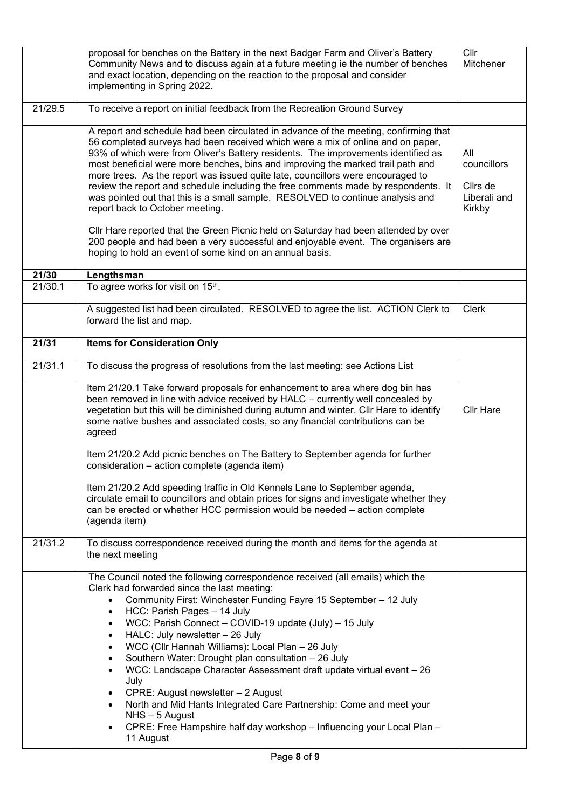|                  | proposal for benches on the Battery in the next Badger Farm and Oliver's Battery<br>Community News and to discuss again at a future meeting ie the number of benches<br>and exact location, depending on the reaction to the proposal and consider<br>implementing in Spring 2022.                                                                                                                                                                                                                                                                                                                                                                                                                                                                                                                                        | Cllr<br>Mitchener                                        |
|------------------|---------------------------------------------------------------------------------------------------------------------------------------------------------------------------------------------------------------------------------------------------------------------------------------------------------------------------------------------------------------------------------------------------------------------------------------------------------------------------------------------------------------------------------------------------------------------------------------------------------------------------------------------------------------------------------------------------------------------------------------------------------------------------------------------------------------------------|----------------------------------------------------------|
| 21/29.5          | To receive a report on initial feedback from the Recreation Ground Survey                                                                                                                                                                                                                                                                                                                                                                                                                                                                                                                                                                                                                                                                                                                                                 |                                                          |
|                  | A report and schedule had been circulated in advance of the meeting, confirming that<br>56 completed surveys had been received which were a mix of online and on paper,<br>93% of which were from Oliver's Battery residents. The improvements identified as<br>most beneficial were more benches, bins and improving the marked trail path and<br>more trees. As the report was issued quite late, councillors were encouraged to<br>review the report and schedule including the free comments made by respondents. It<br>was pointed out that this is a small sample. RESOLVED to continue analysis and<br>report back to October meeting.<br>Cllr Hare reported that the Green Picnic held on Saturday had been attended by over<br>200 people and had been a very successful and enjoyable event. The organisers are | All<br>councillors<br>Cllrs de<br>Liberali and<br>Kirkby |
|                  | hoping to hold an event of some kind on an annual basis.                                                                                                                                                                                                                                                                                                                                                                                                                                                                                                                                                                                                                                                                                                                                                                  |                                                          |
| 21/30<br>21/30.1 | Lengthsman<br>To agree works for visit on 15 <sup>th</sup> .                                                                                                                                                                                                                                                                                                                                                                                                                                                                                                                                                                                                                                                                                                                                                              |                                                          |
|                  |                                                                                                                                                                                                                                                                                                                                                                                                                                                                                                                                                                                                                                                                                                                                                                                                                           |                                                          |
|                  | A suggested list had been circulated. RESOLVED to agree the list. ACTION Clerk to<br>forward the list and map.                                                                                                                                                                                                                                                                                                                                                                                                                                                                                                                                                                                                                                                                                                            | <b>Clerk</b>                                             |
| 21/31            | <b>Items for Consideration Only</b>                                                                                                                                                                                                                                                                                                                                                                                                                                                                                                                                                                                                                                                                                                                                                                                       |                                                          |
| 21/31.1          | To discuss the progress of resolutions from the last meeting: see Actions List                                                                                                                                                                                                                                                                                                                                                                                                                                                                                                                                                                                                                                                                                                                                            |                                                          |
|                  | Item 21/20.1 Take forward proposals for enhancement to area where dog bin has<br>been removed in line with advice received by HALC - currently well concealed by<br>vegetation but this will be diminished during autumn and winter. Cllr Hare to identify<br>some native bushes and associated costs, so any financial contributions can be<br>agreed                                                                                                                                                                                                                                                                                                                                                                                                                                                                    | <b>Cllr Hare</b>                                         |
|                  | Item 21/20.2 Add picnic benches on The Battery to September agenda for further<br>consideration - action complete (agenda item)                                                                                                                                                                                                                                                                                                                                                                                                                                                                                                                                                                                                                                                                                           |                                                          |
|                  | Item 21/20.2 Add speeding traffic in Old Kennels Lane to September agenda,<br>circulate email to councillors and obtain prices for signs and investigate whether they<br>can be erected or whether HCC permission would be needed - action complete<br>(agenda item)                                                                                                                                                                                                                                                                                                                                                                                                                                                                                                                                                      |                                                          |
| 21/31.2          | To discuss correspondence received during the month and items for the agenda at<br>the next meeting                                                                                                                                                                                                                                                                                                                                                                                                                                                                                                                                                                                                                                                                                                                       |                                                          |
|                  | The Council noted the following correspondence received (all emails) which the<br>Clerk had forwarded since the last meeting:<br>Community First: Winchester Funding Fayre 15 September - 12 July<br>$\bullet$<br>HCC: Parish Pages - 14 July<br>$\bullet$<br>WCC: Parish Connect - COVID-19 update (July) - 15 July<br>$\bullet$<br>HALC: July newsletter - 26 July<br>$\bullet$<br>WCC (Cllr Hannah Williams): Local Plan - 26 July<br>$\bullet$<br>Southern Water: Drought plan consultation - 26 July<br>$\bullet$<br>WCC: Landscape Character Assessment draft update virtual event - 26                                                                                                                                                                                                                             |                                                          |